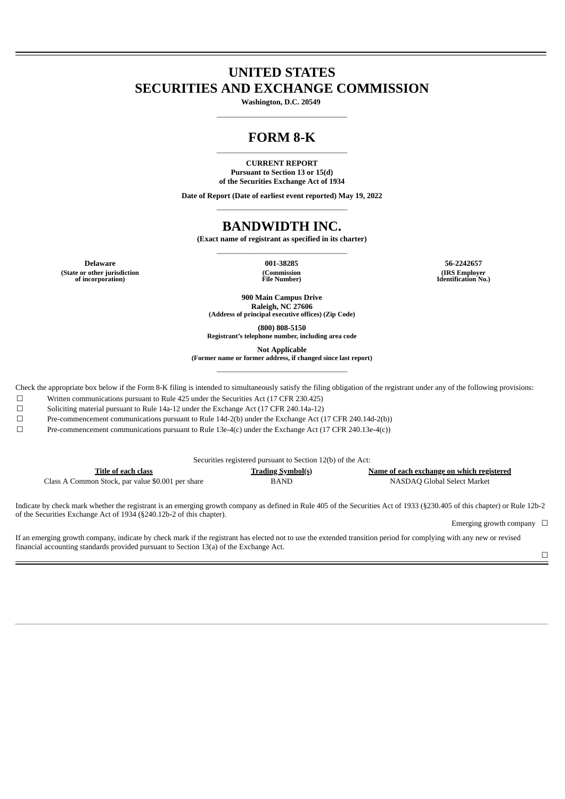# **UNITED STATES SECURITIES AND EXCHANGE COMMISSION**

**Washington, D.C. 20549 \_\_\_\_\_\_\_\_\_\_\_\_\_\_\_\_\_\_\_\_\_\_\_\_\_\_\_\_\_\_\_\_\_\_\_\_\_\_\_\_\_\_\_\_\_\_\_\_\_\_\_**

## **FORM 8-K \_\_\_\_\_\_\_\_\_\_\_\_\_\_\_\_\_\_\_\_\_\_\_\_\_\_\_\_\_\_\_\_\_\_\_\_\_\_\_\_\_\_\_\_\_\_\_\_\_\_\_**

#### **CURRENT REPORT Pursuant to Section 13 or 15(d) of the Securities Exchange Act of 1934**

**Date of Report (Date of earliest event reported) May 19, 2022 \_\_\_\_\_\_\_\_\_\_\_\_\_\_\_\_\_\_\_\_\_\_\_\_\_\_\_\_\_\_\_\_\_\_\_\_\_\_\_\_\_\_\_\_\_\_\_\_\_\_\_**

# **BANDWIDTH INC.**

**(Exact name of registrant as specified in its charter) \_\_\_\_\_\_\_\_\_\_\_\_\_\_\_\_\_\_\_\_\_\_\_\_\_\_\_\_\_\_\_\_\_\_\_\_\_\_\_\_\_\_\_\_\_\_\_\_\_\_\_**

**(State or other jurisdiction of incorporation)**

**(Commission File Number)**

**Delaware 001-38285 56-2242657 (IRS Employer Identification No.)**

> **900 Main Campus Drive Raleigh, NC 27606 (Address of principal executive offices) (Zip Code)**

**(800) 808-5150 Registrant's telephone number, including area code**

**Not Applicable**

**(Former name or former address, if changed since last report) \_\_\_\_\_\_\_\_\_\_\_\_\_\_\_\_\_\_\_\_\_\_\_\_\_\_\_\_\_\_\_\_\_\_\_\_\_\_\_\_\_\_\_\_\_\_\_\_\_\_\_**

Check the appropriate box below if the Form 8-K filing is intended to simultaneously satisfy the filing obligation of the registrant under any of the following provisions:

☐ Written communications pursuant to Rule 425 under the Securities Act (17 CFR 230.425)

☐ Soliciting material pursuant to Rule 14a-12 under the Exchange Act (17 CFR 240.14a-12)

☐ Pre-commencement communications pursuant to Rule 14d-2(b) under the Exchange Act (17 CFR 240.14d-2(b))

☐ Pre-commencement communications pursuant to Rule 13e-4(c) under the Exchange Act (17 CFR 240.13e-4(c))

| Securities registered pursuant to Section 12(b) of the Act: |                          |                                           |  |  |
|-------------------------------------------------------------|--------------------------|-------------------------------------------|--|--|
| Title of each class                                         | <b>Trading Symbol(s)</b> | Name of each exchange on which registered |  |  |
| Class A Common Stock, par value \$0.001 per share           | <b>BAND</b>              | NASDAO Global Select Market               |  |  |

Indicate by check mark whether the registrant is an emerging growth company as defined in Rule 405 of the Securities Act of 1933 (§230.405 of this chapter) or Rule 12b-2 of the Securities Exchange Act of 1934 (§240.12b-2 of this chapter).

Emerging growth company  $\Box$ 

If an emerging growth company, indicate by check mark if the registrant has elected not to use the extended transition period for complying with any new or revised financial accounting standards provided pursuant to Section 13(a) of the Exchange Act.

☐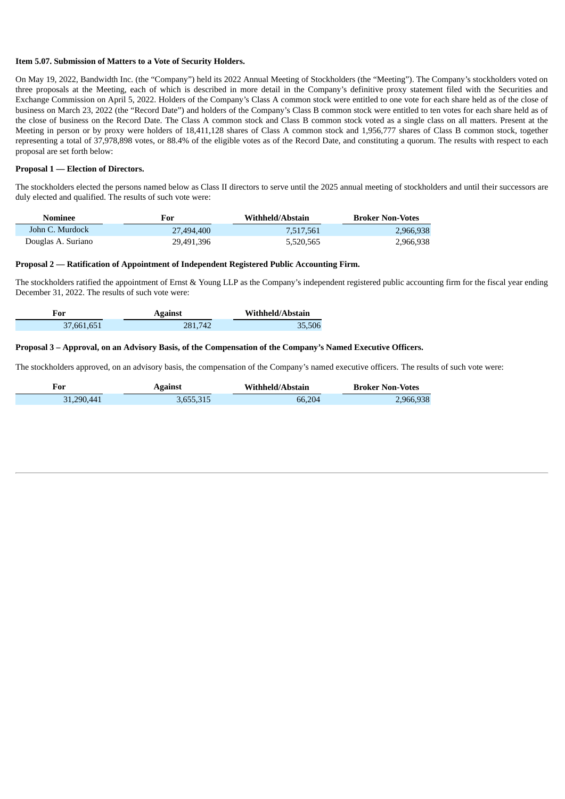#### **Item 5.07. Submission of Matters to a Vote of Security Holders.**

On May 19, 2022, Bandwidth Inc. (the "Company") held its 2022 Annual Meeting of Stockholders (the "Meeting"). The Company's stockholders voted on three proposals at the Meeting, each of which is described in more detail in the Company's definitive proxy statement filed with the Securities and Exchange Commission on April 5, 2022. Holders of the Company's Class A common stock were entitled to one vote for each share held as of the close of business on March 23, 2022 (the "Record Date") and holders of the Company's Class B common stock were entitled to ten votes for each share held as of the close of business on the Record Date. The Class A common stock and Class B common stock voted as a single class on all matters. Present at the Meeting in person or by proxy were holders of 18,411,128 shares of Class A common stock and 1,956,777 shares of Class B common stock, together representing a total of 37,978,898 votes, or 88.4% of the eligible votes as of the Record Date, and constituting a quorum. The results with respect to each proposal are set forth below:

#### **Proposal 1 — Election of Directors.**

The stockholders elected the persons named below as Class II directors to serve until the 2025 annual meeting of stockholders and until their successors are duly elected and qualified. The results of such vote were:

| Nominee            | For        | Withheld/Abstain | <b>Broker Non-Votes</b> |
|--------------------|------------|------------------|-------------------------|
| John C. Murdock    | 27,494,400 | 7.517.561        | 2,966,938               |
| Douglas A. Suriano | 29,491,396 | 5,520,565        | 2,966,938               |

#### **Proposal 2 — Ratification of Appointment of Independent Registered Public Accounting Firm.**

The stockholders ratified the appointment of Ernst & Young LLP as the Company's independent registered public accounting firm for the fiscal year ending December 31, 2022. The results of such vote were:

| For        | <b>Against</b> | Withheld/Abstain |
|------------|----------------|------------------|
| 37,661,651 | 281.742        | 35,506           |

#### Proposal 3 - Approval, on an Advisory Basis, of the Compensation of the Company's Named Executive Officers.

The stockholders approved, on an advisory basis, the compensation of the Company's named executive officers. The results of such vote were:

| For        | <b>Against</b> | Withheld/Abstain | <b>Broker Non-Votes</b> |
|------------|----------------|------------------|-------------------------|
| 31,290,441 | 3,655,315      | 66.204           | 2,966,938               |